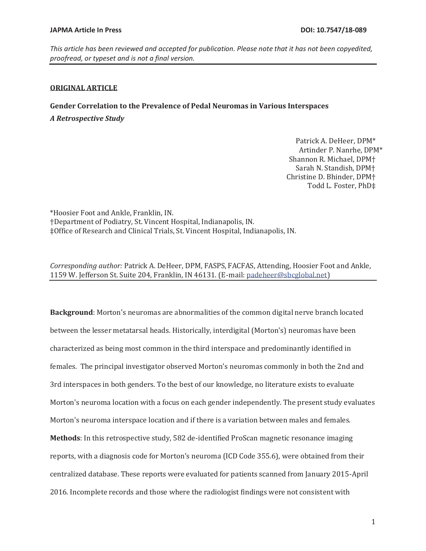*This article has been reviewed and accepted for publication. Please note that it has not been copyedited, proofread, or typeset and is not a final version.* 

# **ORIGINAL ARTICLE**

**Gender Correlation to the Prevalence of Pedal Neuromas in Various Interspaces**  *A Retrospective Study* 

> Patrick A. DeHeer, DPM\* Artinder P. Nanrhe, DPM\* Shannon R. Michael, DPM† Sarah N. Standish, DPM† Christine D. Bhinder, DPM† Todd L. Foster, PhD‡

\*Hoosier Foot and Ankle, Franklin, IN. †Department of Podiatry, St. Vincent Hospital, Indianapolis, IN. ‡Office of Research and Clinical Trials, St. Vincent Hospital, Indianapolis, IN.

*Corresponding author:* Patrick A. DeHeer, DPM, FASPS, FACFAS, Attending, Hoosier Foot and Ankle, 1159 W. Jefferson St. Suite 204, Franklin, IN 46131. (E-mail: padeheer@sbcglobal.net)

**Background**: Morton's neuromas are abnormalities of the common digital nerve branch located between the lesser metatarsal heads. Historically, interdigital (Morton's) neuromas have been characterized as being most common in the third interspace and predominantly identified in females. The principal investigator observed Morton's neuromas commonly in both the 2nd and 3rd interspaces in both genders. To the best of our knowledge, no literature exists to evaluate Morton's neuroma location with a focus on each gender independently. The present study evaluates Morton's neuroma interspace location and if there is a variation between males and females. **Methods**: In this retrospective study, 582 de-identified ProScan magnetic resonance imaging reports, with a diagnosis code for Morton's neuroma (ICD Code 355.6), were obtained from their centralized database. These reports were evaluated for patients scanned from January 2015-April 2016. Incomplete records and those where the radiologist findings were not consistent with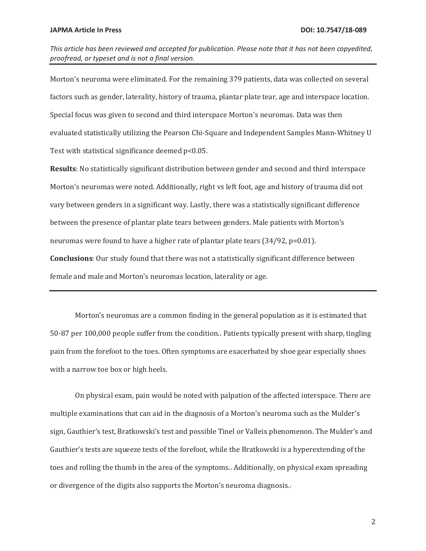Morton's neuroma were eliminated. For the remaining 379 patients, data was collected on several factors such as gender, laterality, history of trauma, plantar plate tear, age and interspace location. Special focus was given to second and third interspace Morton's neuromas. Data was then evaluated statistically utilizing the Pearson Chi-Square and Independent Samples Mann-Whitney U Test with statistical significance deemed p<0.05.

**Results**: No statistically significant distribution between gender and second and third interspace Morton's neuromas were noted. Additionally, right vs left foot, age and history of trauma did not vary between genders in a significant way. Lastly, there was a statistically significant difference between the presence of plantar plate tears between genders. Male patients with Morton's neuromas were found to have a higher rate of plantar plate tears (34/92, p=0.01). **Conclusions**: Our study found that there was not a statistically significant difference between female and male and Morton's neuromas location, laterality or age.

Morton's neuromas are a common finding in the general population as it is estimated that 50-87 per 100,000 people suffer from the condition.**1** Patients typically present with sharp, tingling pain from the forefoot to the toes. Often symptoms are exacerbated by shoe gear especially shoes with a narrow toe box or high heels.

On physical exam, pain would be noted with palpation of the affected interspace. There are multiple examinations that can aid in the diagnosis of a Morton's neuroma such as the Mulder's sign, Gauthier's test, Bratkowski's test and possible Tinel or Valleix phenomenon. The Mulder's and Gauthier's tests are squeeze tests of the forefoot, while the Bratkowski is a hyperextending of the toes and rolling the thumb in the area of the symptoms.2 Additionally, on physical exam spreading or divergence of the digits also supports the Morton's neuroma diagnosis.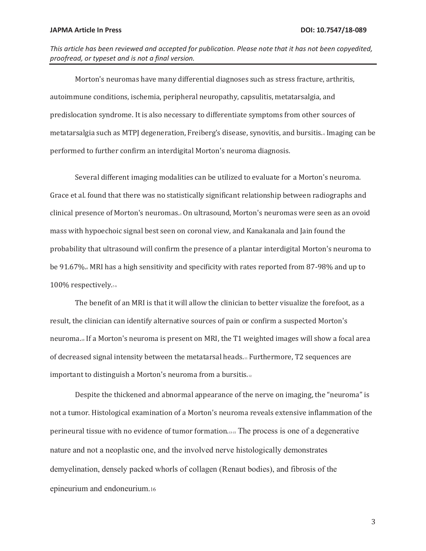*This article has been reviewed and accepted for publication. Please note that it has not been copyedited, proofread, or typeset and is not a final version.* 

Morton's neuromas have many differential diagnoses such as stress fracture, arthritis, autoimmune conditions, ischemia, peripheral neuropathy, capsulitis, metatarsalgia, and predislocation syndrome. It is also necessary to differentiate symptoms from other sources of metatarsalgia such as MTPJ degeneration, Freiberg's disease, synovitis, and bursitis.4 Imaging can be performed to further confirm an interdigital Morton's neuroma diagnosis.

Several different imaging modalities can be utilized to evaluate for a Morton's neuroma. Grace et al. found that there was no statistically significant relationship between radiographs and clinical presence of Morton's neuromas.5 On ultrasound, Morton's neuromas were seen as an ovoid mass with hypoechoic signal best seen on coronal view, and Kanakanala and Jain found the probability that ultrasound will confirm the presence of a plantar interdigital Morton's neuroma to be 91.67%. MRI has a high sensitivity and specificity with rates reported from 87-98% and up to 100% respectively.

The benefit of an MRI is that it will allow the clinician to better visualize the forefoot, as a result, the clinician can identify alternative sources of pain or confirm a suspected Morton's neuroma.10 If a Morton's neuroma is present on MRI, the T1 weighted images will show a focal area of decreased signal intensity between the metatarsal heads.11 Furthermore, T2 sequences are important to distinguish a Morton's neuroma from a bursitis.12

Despite the thickened and abnormal appearance of the nerve on imaging, the "neuroma" is not a tumor. Histological examination of a Morton's neuroma reveals extensive inflammation of the perineural tissue with no evidence of tumor formation.13-15 The process is one of a degenerative nature and not a neoplastic one, and the involved nerve histologically demonstrates demyelination, densely packed whorls of collagen (Renaut bodies), and fibrosis of the epineurium and endoneurium.16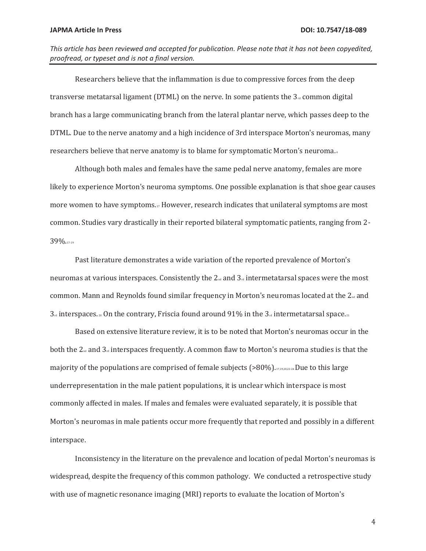*This article has been reviewed and accepted for publication. Please note that it has not been copyedited, proofread, or typeset and is not a final version.* 

Researchers believe that the inflammation is due to compressive forces from the deep transverse metatarsal ligament (DTML) on the nerve. In some patients the  $3<sub>rd</sub>$  common digital branch has a large communicating branch from the lateral plantar nerve, which passes deep to the DTML. Due to the nerve anatomy and a high incidence of 3rd interspace Morton's neuromas, many researchers believe that nerve anatomy is to blame for symptomatic Morton's neuroma. <sup>4</sup>

Although both males and females have the same pedal nerve anatomy, females are more likely to experience Morton's neuroma symptoms. One possible explanation is that shoe gear causes more women to have symptoms.17 However, research indicates that unilateral symptoms are most common. Studies vary drastically in their reported bilateral symptomatic patients, ranging from 2- 39%.17-19

Past literature demonstrates a wide variation of the reported prevalence of Morton's neuromas at various interspaces. Consistently the  $2<sub>nd</sub>$  and  $3<sub>nd</sub>$  intermetatarsal spaces were the most common. Mann and Reynolds found similar frequency in Morton's neuromas located at the  $2<sub>nd</sub>$  and  $3<sub>rd</sub>$  interspaces.  $2<sub>20</sub>$  On the contrary, Friscia found around 91% in the  $3<sub>rd</sub>$  intermetatarsal space.

Based on extensive literature review, it is to be noted that Morton's neuromas occur in the both the  $2_{nd}$  and  $3_d$  interspaces frequently. A common flaw to Morton's neuroma studies is that the majority of the populations are comprised of female subjects (>80%).17,19,20,22-24 Due to this large underrepresentation in the male patient populations, it is unclear which interspace is most commonly affected in males. If males and females were evaluated separately, it is possible that Morton's neuromas in male patients occur more frequently that reported and possibly in a different interspace.

Inconsistency in the literature on the prevalence and location of pedal Morton's neuromas is widespread, despite the frequency of this common pathology. We conducted a retrospective study with use of magnetic resonance imaging (MRI) reports to evaluate the location of Morton's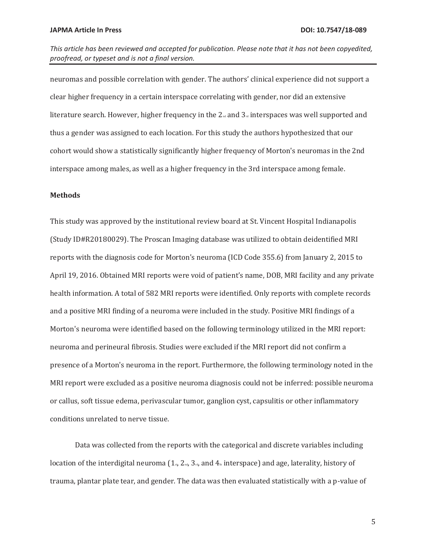neuromas and possible correlation with gender. The authors' clinical experience did not support a clear higher frequency in a certain interspace correlating with gender, nor did an extensive literature search. However, higher frequency in the  $2<sub>nd</sub>$  and  $3<sub>rd</sub>$  interspaces was well supported and thus a gender was assigned to each location. For this study the authors hypothesized that our cohort would show a statistically significantly higher frequency of Morton's neuromas in the 2nd interspace among males, as well as a higher frequency in the 3rd interspace among female.

# **Methods**

This study was approved by the institutional review board at St. Vincent Hospital Indianapolis (Study ID#R20180029). The Proscan Imaging database was utilized to obtain deidentified MRI reports with the diagnosis code for Morton's neuroma (ICD Code 355.6) from January 2, 2015 to April 19, 2016. Obtained MRI reports were void of patient's name, DOB, MRI facility and any private health information. A total of 582 MRI reports were identified. Only reports with complete records and a positive MRI finding of a neuroma were included in the study. Positive MRI findings of a Morton's neuroma were identified based on the following terminology utilized in the MRI report: neuroma and perineural fibrosis. Studies were excluded if the MRI report did not confirm a presence of a Morton's neuroma in the report. Furthermore, the following terminology noted in the MRI report were excluded as a positive neuroma diagnosis could not be inferred: possible neuroma or callus, soft tissue edema, perivascular tumor, ganglion cyst, capsulitis or other inflammatory conditions unrelated to nerve tissue.

Data was collected from the reports with the categorical and discrete variables including location of the interdigital neuroma  $(1_{s_1}, 2_{s_2}, 3_{s_3})$  and  $4_{\text{th}}$  interspace) and age, laterality, history of trauma, plantar plate tear, and gender. The data was then evaluated statistically with a p-value of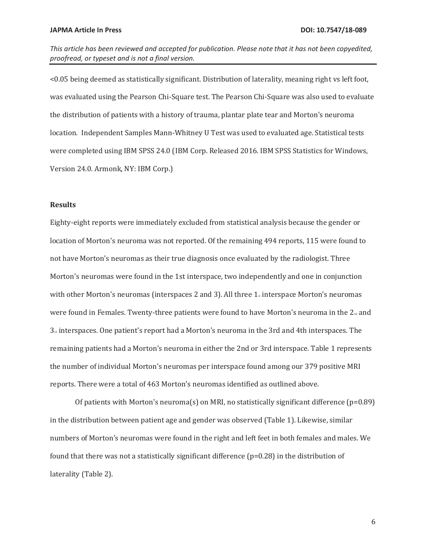<0.05 being deemed as statistically significant. Distribution of laterality, meaning right vs left foot, was evaluated using the Pearson Chi-Square test. The Pearson Chi-Square was also used to evaluate the distribution of patients with a history of trauma, plantar plate tear and Morton's neuroma location. Independent Samples Mann-Whitney U Test was used to evaluated age. Statistical tests were completed using IBM SPSS 24.0 (IBM Corp. Released 2016. IBM SPSS Statistics for Windows, Version 24.0. Armonk, NY: IBM Corp.)

# **Results**

Eighty-eight reports were immediately excluded from statistical analysis because the gender or location of Morton's neuroma was not reported. Of the remaining 494 reports, 115 were found to not have Morton's neuromas as their true diagnosis once evaluated by the radiologist. Three Morton's neuromas were found in the 1st interspace, two independently and one in conjunction with other Morton's neuromas (interspaces 2 and 3). All three  $1<sub>*</sub>$  interspace Morton's neuromas were found in Females. Twenty-three patients were found to have Morton's neuroma in the 2<sup>nd</sup> and  $3<sub>rd</sub>$  interspaces. One patient's report had a Morton's neuroma in the 3rd and 4th interspaces. The remaining patients had a Morton's neuroma in either the 2nd or 3rd interspace. Table 1 represents the number of individual Morton's neuromas per interspace found among our 379 positive MRI reports. There were a total of 463 Morton's neuromas identified as outlined above.

Of patients with Morton's neuroma(s) on MRI, no statistically significant difference ( $p=0.89$ ) in the distribution between patient age and gender was observed (Table 1). Likewise, similar numbers of Morton's neuromas were found in the right and left feet in both females and males. We found that there was not a statistically significant difference (p=0.28) in the distribution of laterality (Table 2).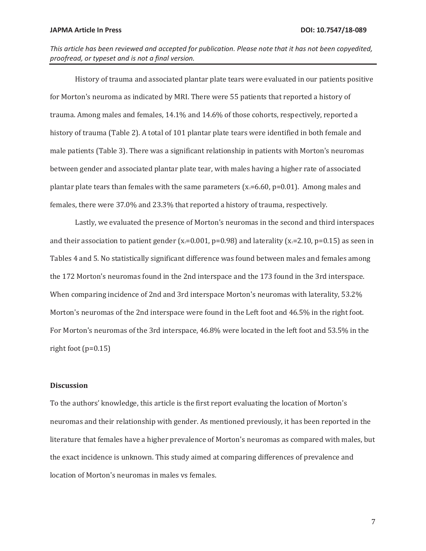*This article has been reviewed and accepted for publication. Please note that it has not been copyedited, proofread, or typeset and is not a final version.* 

History of trauma and associated plantar plate tears were evaluated in our patients positive for Morton's neuroma as indicated by MRI. There were 55 patients that reported a history of trauma. Among males and females, 14.1% and 14.6% of those cohorts, respectively, reported a history of trauma (Table 2). A total of 101 plantar plate tears were identified in both female and male patients (Table 3). There was a significant relationship in patients with Morton's neuromas between gender and associated plantar plate tear, with males having a higher rate of associated plantar plate tears than females with the same parameters ( $x=6.60$ ,  $p=0.01$ ). Among males and females, there were 37.0% and 23.3% that reported a history of trauma, respectively.

Lastly, we evaluated the presence of Morton's neuromas in the second and third interspaces and their association to patient gender  $(x_2=0.001, p=0.98)$  and laterality  $(x_2=2.10, p=0.15)$  as seen in Tables 4 and 5. No statistically significant difference was found between males and females among the 172 Morton's neuromas found in the 2nd interspace and the 173 found in the 3rd interspace. When comparing incidence of 2nd and 3rd interspace Morton's neuromas with laterality, 53.2% Morton's neuromas of the 2nd interspace were found in the Left foot and 46.5% in the right foot. For Morton's neuromas of the 3rd interspace, 46.8% were located in the left foot and 53.5% in the right foot  $(p=0.15)$ 

## **Discussion**

To the authors' knowledge, this article is the first report evaluating the location of Morton's neuromas and their relationship with gender. As mentioned previously, it has been reported in the literature that females have a higher prevalence of Morton's neuromas as compared with males, but the exact incidence is unknown. This study aimed at comparing differences of prevalence and location of Morton's neuromas in males vs females.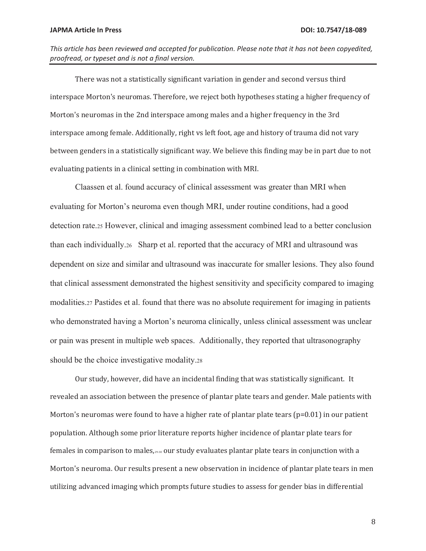*This article has been reviewed and accepted for publication. Please note that it has not been copyedited, proofread, or typeset and is not a final version.* 

There was not a statistically significant variation in gender and second versus third interspace Morton's neuromas. Therefore, we reject both hypotheses stating a higher frequency of Morton's neuromas in the 2nd interspace among males and a higher frequency in the 3rd interspace among female. Additionally, right vs left foot, age and history of trauma did not vary between genders in a statistically significant way. We believe this finding may be in part due to not evaluating patients in a clinical setting in combination with MRI.

Claassen et al. found accuracy of clinical assessment was greater than MRI when evaluating for Morton's neuroma even though MRI, under routine conditions, had a good detection rate.25 However, clinical and imaging assessment combined lead to a better conclusion than each individually.26 Sharp et al. reported that the accuracy of MRI and ultrasound was dependent on size and similar and ultrasound was inaccurate for smaller lesions. They also found that clinical assessment demonstrated the highest sensitivity and specificity compared to imaging modalities.27 Pastides et al. found that there was no absolute requirement for imaging in patients who demonstrated having a Morton's neuroma clinically, unless clinical assessment was unclear or pain was present in multiple web spaces. Additionally, they reported that ultrasonography should be the choice investigative modality.28

Our study, however, did have an incidental finding that was statistically significant. It revealed an association between the presence of plantar plate tears and gender. Male patients with Morton's neuromas were found to have a higher rate of plantar plate tears (p=0.01) in our patient population. Although some prior literature reports higher incidence of plantar plate tears for females in comparison to males,29-30 our study evaluates plantar plate tears in conjunction with a Morton's neuroma. Our results present a new observation in incidence of plantar plate tears in men utilizing advanced imaging which prompts future studies to assess for gender bias in differential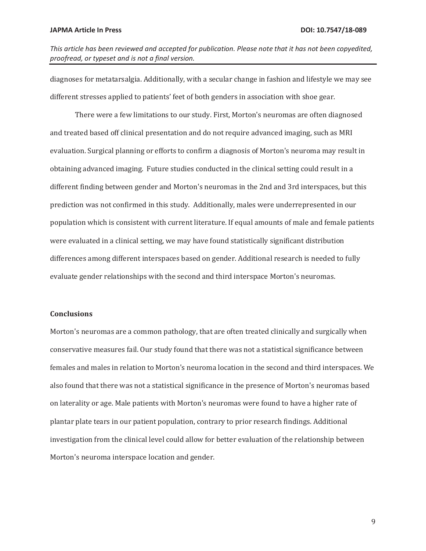*This article has been reviewed and accepted for publication. Please note that it has not been copyedited, proofread, or typeset and is not a final version.* 

diagnoses for metatarsalgia. Additionally, with a secular change in fashion and lifestyle we may see different stresses applied to patients' feet of both genders in association with shoe gear.

There were a few limitations to our study. First, Morton's neuromas are often diagnosed and treated based off clinical presentation and do not require advanced imaging, such as MRI evaluation. Surgical planning or efforts to confirm a diagnosis of Morton's neuroma may result in obtaining advanced imaging. Future studies conducted in the clinical setting could result in a different finding between gender and Morton's neuromas in the 2nd and 3rd interspaces, but this prediction was not confirmed in this study. Additionally, males were underrepresented in our population which is consistent with current literature. If equal amounts of male and female patients were evaluated in a clinical setting, we may have found statistically significant distribution differences among different interspaces based on gender. Additional research is needed to fully evaluate gender relationships with the second and third interspace Morton's neuromas.

# **Conclusions**

Morton's neuromas are a common pathology, that are often treated clinically and surgically when conservative measures fail. Our study found that there was not a statistical significance between females and males in relation to Morton's neuroma location in the second and third interspaces. We also found that there was not a statistical significance in the presence of Morton's neuromas based on laterality or age. Male patients with Morton's neuromas were found to have a higher rate of plantar plate tears in our patient population, contrary to prior research findings. Additional investigation from the clinical level could allow for better evaluation of the relationship between Morton's neuroma interspace location and gender.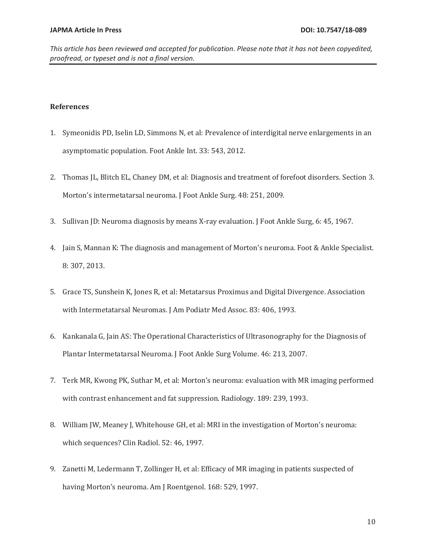# **References**

- 1. Symeonidis PD, Iselin LD, Simmons N, et al: Prevalence of interdigital nerve enlargements in an asymptomatic population. Foot Ankle Int. 33: 543, 2012.
- 2. Thomas JL, Blitch EL, Chaney DM, et al: Diagnosis and treatment of forefoot disorders. Section 3. Morton's intermetatarsal neuroma. J Foot Ankle Surg. 48: 251, 2009.
- 3. Sullivan JD: Neuroma diagnosis by means X-ray evaluation. J Foot Ankle Surg, 6: 45, 1967.
- 4. Jain S, Mannan K: The diagnosis and management of Morton's neuroma. Foot & Ankle Specialist. 8: 307, 2013.
- 5. Grace TS, Sunshein K, Jones R, et al: Metatarsus Proximus and Digital Divergence. Association with Intermetatarsal Neuromas. J Am Podiatr Med Assoc. 83: 406, 1993.
- 6. Kankanala G, Jain AS: The Operational Characteristics of Ultrasonography for the Diagnosis of Plantar Intermetatarsal Neuroma. J Foot Ankle Surg Volume. 46: 213, 2007.
- 7. Terk MR, Kwong PK, Suthar M, et al: Morton's neuroma: evaluation with MR imaging performed with contrast enhancement and fat suppression. Radiology. 189: 239, 1993.
- 8. William JW, Meaney J, Whitehouse GH, et al: MRI in the investigation of Morton's neuroma: which sequences? Clin Radiol. 52: 46, 1997.
- 9. Zanetti M, Ledermann T, Zollinger H, et al: Efficacy of MR imaging in patients suspected of having Morton's neuroma. Am J Roentgenol. 168: 529, 1997.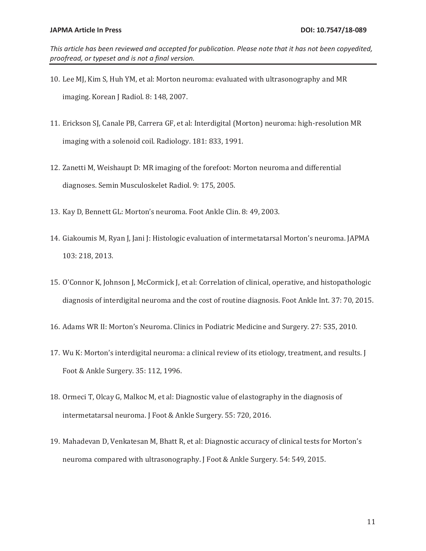- 10. Lee MJ, Kim S, Huh YM, et al: Morton neuroma: evaluated with ultrasonography and MR imaging. Korean J Radiol. 8: 148, 2007.
- 11. Erickson SJ, Canale PB, Carrera GF, et al: Interdigital (Morton) neuroma: high-resolution MR imaging with a solenoid coil. Radiology. 181: 833, 1991.
- 12. Zanetti M, Weishaupt D: MR imaging of the forefoot: Morton neuroma and differential diagnoses. Semin Musculoskelet Radiol. 9: 175, 2005.
- 13. Kay D, Bennett GL: Morton's neuroma. Foot Ankle Clin. 8: 49, 2003.
- 14. Giakoumis M, Ryan J, Jani J: Histologic evaluation of intermetatarsal Morton's neuroma. JAPMA 103: 218, 2013.
- 15. O'Connor K, Johnson J, McCormick J, et al: Correlation of clinical, operative, and histopathologic diagnosis of interdigital neuroma and the cost of routine diagnosis. Foot Ankle Int. 37: 70, 2015.
- 16. Adams WR II: Morton's Neuroma. Clinics in Podiatric Medicine and Surgery. 27: 535, 2010.
- 17. Wu K: Morton's interdigital neuroma: a clinical review of its etiology, treatment, and results. J Foot & Ankle Surgery. 35: 112, 1996.
- 18. Ormeci T, Olcay G, Malkoc M, et al: Diagnostic value of elastography in the diagnosis of intermetatarsal neuroma. J Foot & Ankle Surgery. 55: 720, 2016.
- 19. Mahadevan D, Venkatesan M, Bhatt R, et al: Diagnostic accuracy of clinical tests for Morton's neuroma compared with ultrasonography. J Foot & Ankle Surgery. 54: 549, 2015.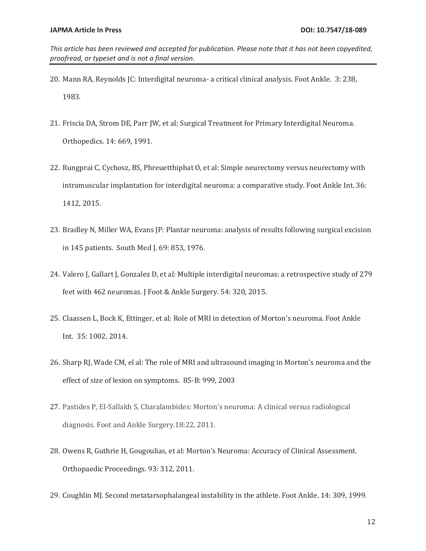- 20. Mann RA, Reynolds JC: Interdigital neuroma- a critical clinical analysis. Foot Ankle. 3: 238, 1983.
- 21. Friscia DA, Strom DE, Parr JW, et al: Surgical Treatment for Primary Interdigital Neuroma. Orthopedics. 14: 669, 1991.
- 22. Rungprai C, Cychosz, BS, Phreuetthiphat O, et al: Simple neurectomy versus neurectomy with intramuscular implantation for interdigital neuroma: a comparative study. Foot Ankle Int. 36: 1412, 2015.
- 23. Bradley N, Miller WA, Evans JP: Plantar neuroma: analysis of results following surgical excision in 145 patients. South Med J. 69: 853, 1976.
- 24. Valero J, Gallart J, Gonzalez D, et al: Multiple interdigital neuromas: a retrospective study of 279 feet with 462 neuromas. J Foot & Ankle Surgery. 54: 320, 2015.
- 25. Claassen L, Bock K, Ettinger, et al: Role of MRI in detection of Morton's neuroma. Foot Ankle Int. 35: 1002, 2014.
- 26. Sharp RJ, Wade CM, el al: The role of MRI and ultrasound imaging in Morton's neuroma and the effect of size of lesion on symptoms. 85-B: 999, 2003
- 27. Pastides P, El-Sallakh S, Charalambides: Morton's neuroma: A clinical versus radiological diagnosis. Foot and Ankle Surgery.18:22, 2011.
- 28. Owens R, Guthrie H, Gougoulias, et al: Morton's Neuroma: Accuracy of Clinical Assessment. Orthopaedic Proceedings. 93: 312, 2011.
- 29. Coughlin MJ. Second metatarsophalangeal instability in the athlete. Foot Ankle. 14: 309, 1999.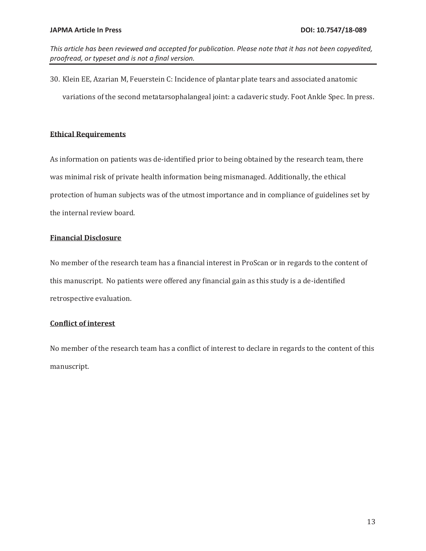*This article has been reviewed and accepted for publication. Please note that it has not been copyedited, proofread, or typeset and is not a final version.* 

30. Klein EE, Azarian M, Feuerstein C: Incidence of plantar plate tears and associated anatomic variations of the second metatarsophalangeal joint: a cadaveric study. Foot Ankle Spec. In press.

# **Ethical Requirements**

As information on patients was de-identified prior to being obtained by the research team, there was minimal risk of private health information being mismanaged. Additionally, the ethical protection of human subjects was of the utmost importance and in compliance of guidelines set by the internal review board.

# **Financial Disclosure**

No member of the research team has a financial interest in ProScan or in regards to the content of this manuscript. No patients were offered any financial gain as this study is a de-identified retrospective evaluation.

# **Conflict of interest**

No member of the research team has a conflict of interest to declare in regards to the content of this manuscript.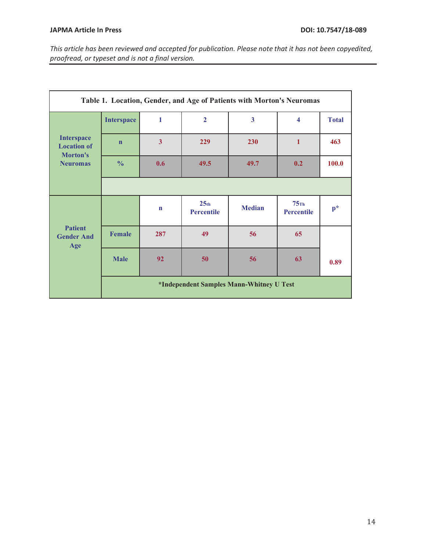| Table 1. Location, Gender, and Age of Patients with Morton's Neuromas  |                                          |                         |                                       |                         |                              |              |
|------------------------------------------------------------------------|------------------------------------------|-------------------------|---------------------------------------|-------------------------|------------------------------|--------------|
| <b>Interspace</b><br><b>Location of</b><br>Morton's<br><b>Neuromas</b> | <b>Interspace</b>                        | 1                       | $\overline{2}$                        | $\overline{\mathbf{3}}$ | $\overline{\mathbf{4}}$      | <b>Total</b> |
|                                                                        | $\mathbf n$                              | $\overline{\mathbf{3}}$ | 229                                   | 230                     | $\mathbf{1}$                 | 463          |
|                                                                        | $\frac{0}{0}$                            | 0.6                     | 49.5                                  | 49.7                    | 0.2                          | 100.0        |
|                                                                        |                                          |                         |                                       |                         |                              |              |
| <b>Patient</b><br><b>Gender And</b><br>Age                             |                                          | $\mathbf n$             | 25 <sub>th</sub><br><b>Percentile</b> | <b>Median</b>           | $75$ Th<br><b>Percentile</b> | $p^*$        |
|                                                                        | <b>Female</b>                            | 287                     | 49                                    | 56                      | 65                           |              |
|                                                                        | <b>Male</b>                              | 92                      | 50                                    | 56                      | 63                           | 0.89         |
|                                                                        | *Independent Samples Mann-Whitney U Test |                         |                                       |                         |                              |              |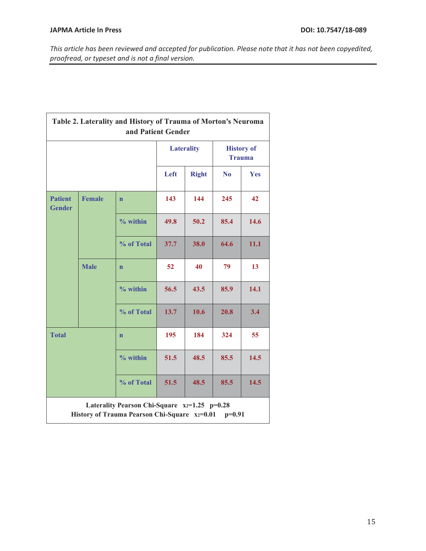| Table 2. Laterality and History of Trauma of Morton's Neuroma<br>and Patient Gender                 |               |              |                   |                                    |                |            |
|-----------------------------------------------------------------------------------------------------|---------------|--------------|-------------------|------------------------------------|----------------|------------|
|                                                                                                     |               |              | <b>Laterality</b> | <b>History of</b><br><b>Trauma</b> |                |            |
|                                                                                                     |               |              | Left              | <b>Right</b>                       | N <sub>0</sub> | <b>Yes</b> |
| <b>Patient</b><br><b>Gender</b>                                                                     | <b>Female</b> | $\mathbf{n}$ | 143               | 144                                | 245            | 42         |
|                                                                                                     |               | $%$ within   | 49.8              | 50.2                               | 85.4           | 14.6       |
|                                                                                                     |               | % of Total   | 37.7              | 38.0                               | 64.6           | 11.1       |
|                                                                                                     | <b>Male</b>   | $\mathbf n$  | 52                | 40                                 | 79             | 13         |
|                                                                                                     |               | $%$ within   | 56.5              | 43.5                               | 85.9           | 14.1       |
|                                                                                                     |               | % of Total   | 13.7              | 10.6                               | 20.8           | 3.4        |
| <b>Total</b>                                                                                        |               | $\mathbf{n}$ | 195               | 184                                | 324            | 55         |
|                                                                                                     |               | $%$ within   | 51.5              | 48.5                               | 85.5           | 14.5       |
|                                                                                                     |               | % of Total   | 51.5              | 48.5                               | 85.5           | 14.5       |
| Laterality Pearson Chi-Square x2=1.25 p=0.28<br>History of Trauma Pearson Chi-Square x2=0.01 p=0.91 |               |              |                   |                                    |                |            |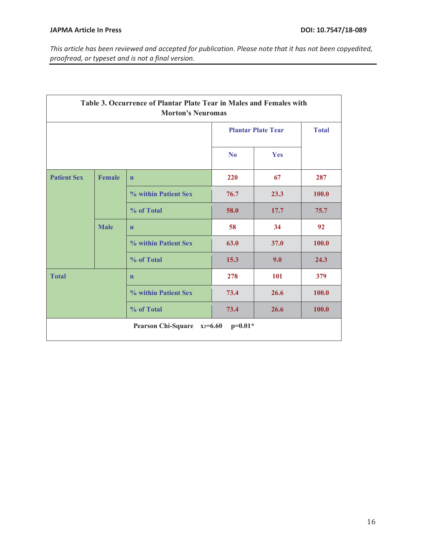| Table 3. Occurrence of Plantar Plate Tear in Males and Females with<br><b>Morton's Neuromas</b> |               |                      |                           |      |              |
|-------------------------------------------------------------------------------------------------|---------------|----------------------|---------------------------|------|--------------|
|                                                                                                 |               |                      | <b>Plantar Plate Tear</b> |      | <b>Total</b> |
|                                                                                                 |               |                      | N <sub>0</sub>            | Yes  |              |
| <b>Patient Sex</b>                                                                              | <b>Female</b> | $\mathbf n$          | 220                       | 67   | 287          |
|                                                                                                 |               | % within Patient Sex | 76.7                      | 23.3 | 100.0        |
|                                                                                                 |               | % of Total           | 58.0                      | 17.7 | 75.7         |
|                                                                                                 | <b>Male</b>   | $\mathbf n$          | 58                        | 34   | 92           |
|                                                                                                 |               | % within Patient Sex | 63.0                      | 37.0 | 100.0        |
|                                                                                                 |               | % of Total           | 15.3                      | 9.0  | 24.3         |
| <b>Total</b>                                                                                    |               | $\mathbf n$          | 278                       | 101  | 379          |
|                                                                                                 |               | % within Patient Sex | 73.4                      | 26.6 | 100.0        |
|                                                                                                 |               | % of Total           | 73.4                      | 26.6 | 100.0        |
| Pearson Chi-Square x2=6.60<br>$p=0.01*$                                                         |               |                      |                           |      |              |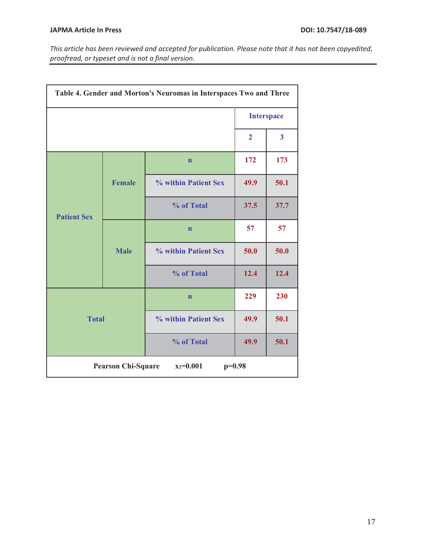| Table 4. Gender and Morton's Neuromas in Interspaces Two and Three |               |                      |                   |                |
|--------------------------------------------------------------------|---------------|----------------------|-------------------|----------------|
|                                                                    |               |                      | <b>Interspace</b> |                |
|                                                                    |               |                      | $\overline{2}$    | $\overline{3}$ |
| <b>Patient Sex</b>                                                 |               | $\mathbf n$          | 172               | 173            |
|                                                                    | <b>Female</b> | % within Patient Sex | 49.9              | 50.1           |
|                                                                    |               | % of Total           | 37.5              | 37.7           |
|                                                                    |               | $\mathbf n$          | 57                | 57             |
|                                                                    | <b>Male</b>   | % within Patient Sex | 50.0              | 50.0           |
|                                                                    |               | % of Total           | 12.4              | 12.4           |
| <b>Total</b>                                                       |               | $\mathbf n$          | 229               | 230            |
|                                                                    |               | % within Patient Sex | 49.9              | 50.1           |
|                                                                    |               | % of Total           | 49.9              | 50.1           |
| <b>Pearson Chi-Square</b><br>$x_2=0.001$<br>$p=0.98$               |               |                      |                   |                |